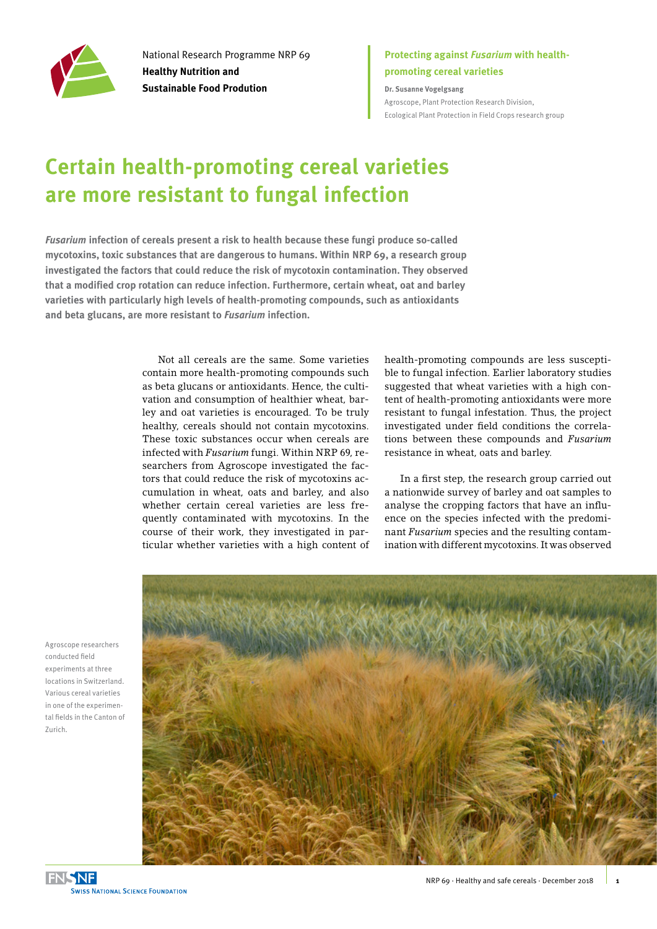

National Research Programme NRP 69 **Healthy Nutrition and Sustainable Food Prodution**

### **Protecting against** *Fusarium* **with healthpromoting cereal varieties**

**Dr. Susanne Vogelgsang** Agroscope, Plant Protection Research Division, Ecological Plant Protection in Field Crops research group

# **Certain health-promoting cereal varieties are more resistant to fungal infection**

*Fusarium* **infection of cereals present a risk to health because these fungi produce so-called mycotoxins, toxic substances that are dangerous to humans. Within NRP 69, a research group investigated the factors that could reduce the risk of mycotoxin contamination. They observed that a modified crop rotation can reduce infection. Furthermore, certain wheat, oat and barley varieties with particularly high levels of health-promoting compounds, such as antioxidants and beta glucans, are more resistant to** *Fusarium* **infection.** 

> Not all cereals are the same. Some varieties contain more health-promoting compounds such as beta glucans or antioxidants. Hence, the cultivation and consumption of healthier wheat, barley and oat varieties is encouraged. To be truly healthy, cereals should not contain mycotoxins. These toxic substances occur when cereals are infected with *Fusarium* fungi. Within NRP 69, researchers from Agroscope investigated the factors that could reduce the risk of mycotoxins accumulation in wheat, oats and barley, and also whether certain cereal varieties are less frequently contaminated with mycotoxins. In the course of their work, they investigated in particular whether varieties with a high content of

health-promoting compounds are less susceptible to fungal infection. Earlier laboratory studies suggested that wheat varieties with a high content of health-promoting antioxidants were more resistant to fungal infestation. Thus, the project investigated under field conditions the correlations between these compounds and *Fusarium*  resistance in wheat, oats and barley.

In a first step, the research group carried out a nationwide survey of barley and oat samples to analyse the cropping factors that have an influence on the species infected with the predominant *Fusarium* species and the resulting contamination with different mycotoxins. It was observed



Agroscope researchers conducted field experiments at three locations in Switzerland. Various cereal varieties in one of the experimental fields in the Canton of Zurich.